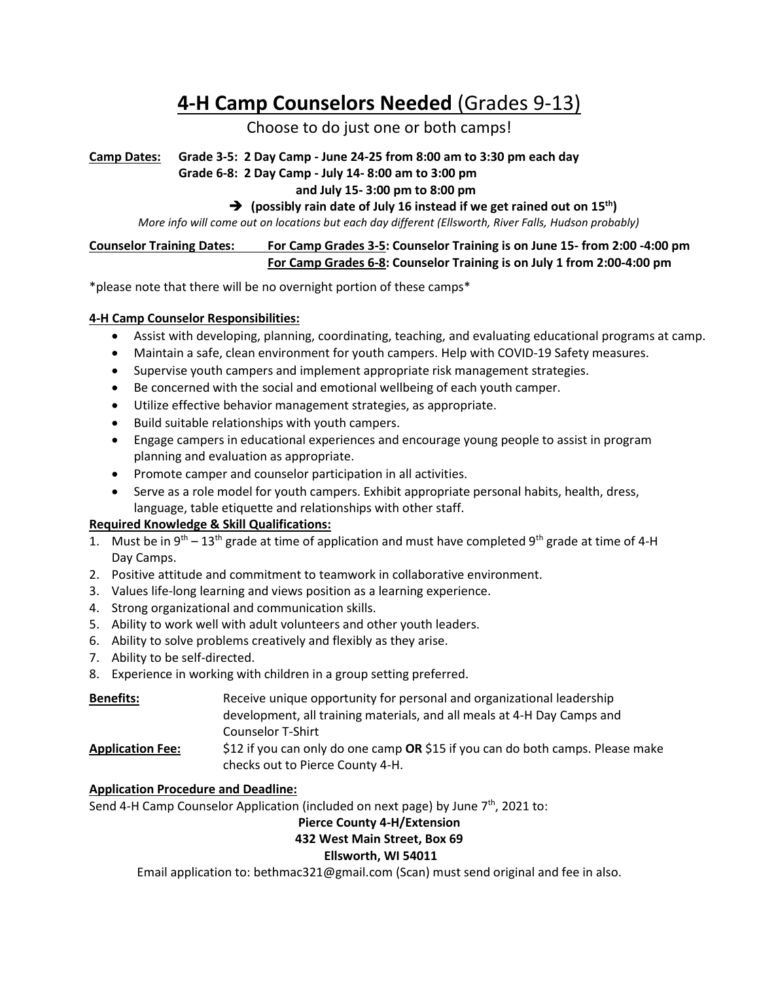# **4-H Camp Counselors Needed** (Grades 9-13)

# Choose to do just one or both camps!

**Camp Dates: Grade 3-5: 2 Day Camp - June 24-25 from 8:00 am to 3:30 pm each day**

## **Grade 6-8: 2 Day Camp - July 14- 8:00 am to 3:00 pm**

### **and July 15- 3:00 pm to 8:00 pm**

### ➔ **(possibly rain date of July 16 instead if we get rained out on 15th)**

 *More info will come out on locations but each day different (Ellsworth, River Falls, Hudson probably)*

#### **Counselor Training Dates: For Camp Grades 3-5: Counselor Training is on June 15- from 2:00 -4:00 pm For Camp Grades 6-8: Counselor Training is on July 1 from 2:00-4:00 pm**

\*please note that there will be no overnight portion of these camps\*

### **4-H Camp Counselor Responsibilities:**

- Assist with developing, planning, coordinating, teaching, and evaluating educational programs at camp.
- Maintain a safe, clean environment for youth campers. Help with COVID-19 Safety measures.
- Supervise youth campers and implement appropriate risk management strategies.
- Be concerned with the social and emotional wellbeing of each youth camper.
- Utilize effective behavior management strategies, as appropriate.
- Build suitable relationships with youth campers.
- Engage campers in educational experiences and encourage young people to assist in program planning and evaluation as appropriate.
- Promote camper and counselor participation in all activities.
- Serve as a role model for youth campers. Exhibit appropriate personal habits, health, dress, language, table etiquette and relationships with other staff.

# **Required Knowledge & Skill Qualifications:**

- 1. Must be in  $9^{th} 13^{th}$  grade at time of application and must have completed  $9^{th}$  grade at time of 4-H Day Camps.
- 2. Positive attitude and commitment to teamwork in collaborative environment.
- 3. Values life-long learning and views position as a learning experience.
- 4. Strong organizational and communication skills.
- 5. Ability to work well with adult volunteers and other youth leaders.
- 6. Ability to solve problems creatively and flexibly as they arise.
- 7. Ability to be self-directed.
- 8. Experience in working with children in a group setting preferred.

| <b>Benefits:</b>        | Receive unique opportunity for personal and organizational leadership                                              |  |  |  |
|-------------------------|--------------------------------------------------------------------------------------------------------------------|--|--|--|
|                         | development, all training materials, and all meals at 4-H Day Camps and                                            |  |  |  |
|                         | Counselor T-Shirt                                                                                                  |  |  |  |
| <b>Application Fee:</b> | \$12 if you can only do one camp OR \$15 if you can do both camps. Please make<br>checks out to Pierce County 4-H. |  |  |  |

#### **Application Procedure and Deadline:**

Send 4-H Camp Counselor Application (included on next page) by June 7<sup>th</sup>, 2021 to:

# **Pierce County 4-H/Extension**

# **432 West Main Street, Box 69**

#### **Ellsworth, WI 54011**

Email application to: bethmac321@gmail.com (Scan) must send original and fee in also.